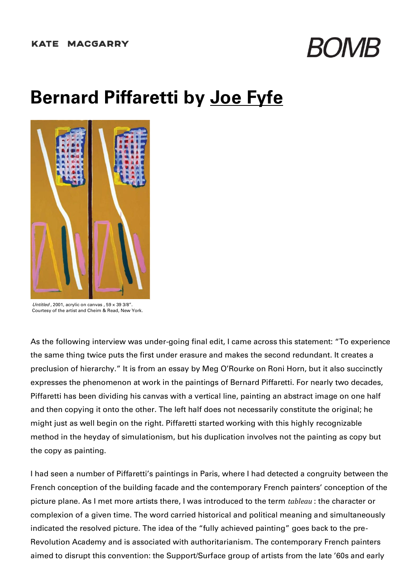

## **Bernard Piffaretti by Joe [Fyfe](https://bombmagazine.org/authors/joe-fyfe)**



 $I$ Intitled 2001, acrylic on canvas  $.59 \times 39.3/8$ " Courtesy of the artist and Cheim & Read, New York.

As the following interview was under-going final edit, I came across this statement: "To experience the same thing twice puts the first under erasure and makes the second redundant. It creates a preclusion of hierarchy." It is from an essay by Meg O'Rourke on Roni Horn, but it also succinctly expresses the phenomenon at work in the paintings of Bernard Piffaretti. For nearly two decades, Piffaretti has been dividing his canvas with a vertical line, painting an abstract image on one half and then copying it onto the other. The left half does not necessarily constitute the original; he might just as well begin on the right. Piffaretti started working with this highly recognizable method in the heyday of simulationism, but his duplication involves not the painting as copy but the copy as painting.

I had seen a number of Piffaretti's paintings in Paris, where I had detected a congruity between the French conception of the building facade and the contemporary French painters' conception of the picture plane. As I met more artists there, I was introduced to the term *tableau* : the character or complexion of a given time. The word carried historical and political meaning and simultaneously indicated the resolved picture. The idea of the "fully achieved painting" goes back to the pre-Revolution Academy and is associated with authoritarianism. The contemporary French painters aimed to disrupt this convention: the Support/Surface group of artists from the late '60s and early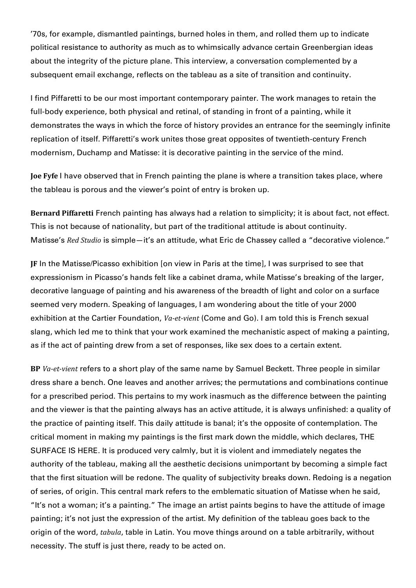'70s, for example, dismantled paintings, burned holes in them, and rolled them up to indicate political resistance to authority as much as to whimsically advance certain Greenbergian ideas about the integrity of the picture plane. This interview, a conversation complemented by a subsequent email exchange, reflects on the tableau as a site of transition and continuity.

I find Piffaretti to be our most important contemporary painter. The work manages to retain the full-body experience, both physical and retinal, of standing in front of a painting, while it demonstrates the ways in which the force of history provides an entrance for the seemingly infinite replication of itself. Piffaretti's work unites those great opposites of twentieth-century French modernism, Duchamp and Matisse: it is decorative painting in the service of the mind.

**Joe Fyfe** I have observed that in French painting the plane is where a transition takes place, where the tableau is porous and the viewer's point of entry is broken up.

**Bernard Piffaretti** French painting has always had a relation to simplicity; it is about fact, not effect. This is not because of nationality, but part of the traditional attitude is about continuity. Matisse's *Red Studio* is simple—it's an attitude, what Eric de Chassey called a "decorative violence."

**JF** In the Matisse/Picasso exhibition [on view in Paris at the time], I was surprised to see that expressionism in Picasso's hands felt like a cabinet drama, while Matisse's breaking of the larger, decorative language of painting and his awareness of the breadth of light and color on a surface seemed very modern. Speaking of languages, I am wondering about the title of your 2000 exhibition at the Cartier Foundation, *Va-et-vient* (Come and Go). I am told this is French sexual slang, which led me to think that your work examined the mechanistic aspect of making a painting, as if the act of painting drew from a set of responses, like sex does to a certain extent.

**BP** *Va-et-vient* refers to a short play of the same name by Samuel Beckett. Three people in similar dress share a bench. One leaves and another arrives; the permutations and combinations continue for a prescribed period. This pertains to my work inasmuch as the difference between the painting and the viewer is that the painting always has an active attitude, it is always unfinished: a quality of the practice of painting itself. This daily attitude is banal; it's the opposite of contemplation. The critical moment in making my paintings is the first mark down the middle, which declares, THE SURFACE IS HERE. It is produced very calmly, but it is violent and immediately negates the authority of the tableau, making all the aesthetic decisions unimportant by becoming a simple fact that the first situation will be redone. The quality of subjectivity breaks down. Redoing is a negation of series, of origin. This central mark refers to the emblematic situation of Matisse when he said, "It's not a woman; it's a painting." The image an artist paints begins to have the attitude of image painting; it's not just the expression of the artist. My definition of the tableau goes back to the origin of the word, *tabula*, table in Latin. You move things around on a table arbitrarily, without necessity. The stuff is just there, ready to be acted on.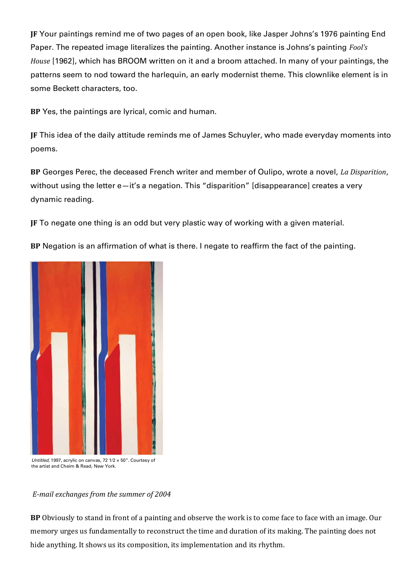**JF** Your paintings remind me of two pages of an open book, like Jasper Johns's 1976 painting End Paper. The repeated image literalizes the painting. Another instance is Johns's painting *Fool's House* [1962], which has BROOM written on it and a broom attached. In many of your paintings, the patterns seem to nod toward the harlequin, an early modernist theme. This clownlike element is in some Beckett characters, too.

**BP** Yes, the paintings are lyrical, comic and human.

**JF** This idea of the daily attitude reminds me of James Schuyler, who made everyday moments into poems.

**BP** Georges Perec, the deceased French writer and member of Oulipo, wrote a novel, *La Disparition*, without using the letter e—it's a negation. This "disparition" [disappearance] creates a very dynamic reading.

**JF** To negate one thing is an odd but very plastic way of working with a given material.

**BP** Negation is an affirmation of what is there. I negate to reaffirm the fact of the painting.



Untitled, 1997, acrylic on canvas, 72 1/2  $\times$  50". Courtesy of the artist and Cheim & Read, New York.

## *E-mail exchanges from the summer of 2004*

**BP** Obviously to stand in front of a painting and observe the work is to come face to face with an image. Our memory urges us fundamentally to reconstruct the time and duration of its making. The painting does not hide anything. It shows us its composition, its implementation and its rhythm.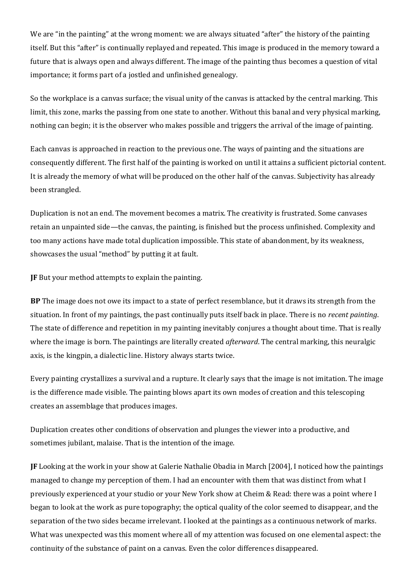We are "in the painting" at the wrong moment: we are always situated "after" the history of the painting itself. But this "after" is continually replayed and repeated. This image is produced in the memory toward a future that is always open and always different. The image of the painting thus becomes a question of vital importance; it forms part of a jostled and unfinished genealogy.

So the workplace is a canvas surface; the visual unity of the canvas is attacked by the central marking. This limit, this zone, marks the passing from one state to another. Without this banal and very physical marking, nothing can begin; it is the observer who makes possible and triggers the arrival of the image of painting.

Each canvas is approached in reaction to the previous one. The ways of painting and the situations are consequently different. The first half of the painting is worked on until it attains a sufficient pictorial content. It is already the memory of what will be produced on the other half of the canvas. Subjectivity has already been strangled.

Duplication is not an end. The movement becomes a matrix. The creativity is frustrated. Some canvases retain an unpainted side—the canvas, the painting, is finished but the process unfinished. Complexity and too many actions have made total duplication impossible. This state of abandonment, by its weakness, showcases the usual "method" by putting it at fault.

**JF** But your method attempts to explain the painting.

**BP** The image does not owe its impact to a state of perfect resemblance, but it draws its strength from the situation. In front of my paintings, the past continually puts itself back in place. There is no *recent painting*. The state of difference and repetition in my painting inevitably conjures a thought about time. That is really where the image is born. The paintings are literally created *afterward*. The central marking, this neuralgic axis, is the kingpin, a dialectic line. History always starts twice.

Every painting crystallizes a survival and a rupture. It clearly says that the image is not imitation. The image is the difference made visible. The painting blows apart its own modes of creation and this telescoping creates an assemblage that produces images.

Duplication creates other conditions of observation and plunges the viewer into a productive, and sometimes jubilant, malaise. That is the intention of the image.

**JF** Looking at the work in your show at Galerie Nathalie Obadia in March [2004], I noticed how the paintings managed to change my perception of them. I had an encounter with them that was distinct from what I previously experienced at your studio or your New York show at Cheim & Read: there was a point where I began to look at the work as pure topography; the optical quality of the color seemed to disappear, and the separation of the two sides became irrelevant. I looked at the paintings as a continuous network of marks. What was unexpected was this moment where all of my attention was focused on one elemental aspect: the continuity of the substance of paint on a canvas. Even the color differences disappeared.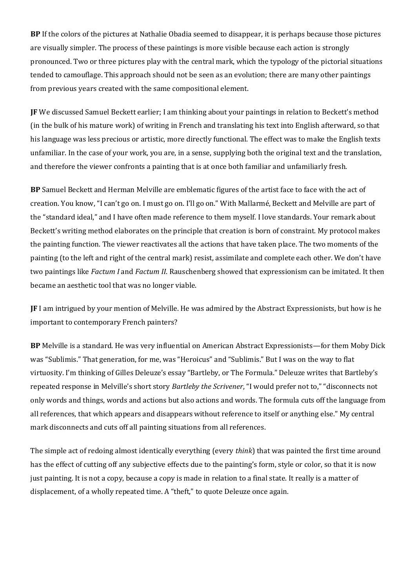**BP** If the colors of the pictures at Nathalie Obadia seemed to disappear, it is perhaps because those pictures are visually simpler. The process of these paintings is more visible because each action is strongly pronounced. Two or three pictures play with the central mark, which the typology of the pictorial situations tended to camouflage. This approach should not be seen as an evolution; there are many other paintings from previous years created with the same compositional element.

**JF** We discussed Samuel Beckett earlier; I am thinking about your paintings in relation to Beckett's method (in the bulk of his mature work) of writing in French and translating his text into English afterward, so that his language was less precious or artistic, more directly functional. The effect was to make the English texts unfamiliar. In the case of your work, you are, in a sense, supplying both the original text and the translation, and therefore the viewer confronts a painting that is at once both familiar and unfamiliarly fresh.

**BP** Samuel Beckett and Herman Melville are emblematic figures of the artist face to face with the act of creation. You know, "I can't go on. I must go on. I'll go on." With Mallarmé, Beckett and Melville are part of the "standard ideal," and I have often made reference to them myself. I love standards. Your remark about Beckett's writing method elaborates on the principle that creation is born of constraint. My protocol makes the painting function. The viewer reactivates all the actions that have taken place. The two moments of the painting (to the left and right of the central mark) resist, assimilate and complete each other. We don't have two paintings like *Factum I* and *Factum II*. Rauschenberg showed that expressionism can be imitated. It then became an aesthetic tool that was no longer viable.

**JF** I am intrigued by your mention of Melville. He was admired by the Abstract Expressionists, but how is he important to contemporary French painters?

**BP** Melville is a standard. He was very influential on American Abstract Expressionists—for them Moby Dick was "Sublimis." That generation, for me, was "Heroicus" and "Sublimis." But I was on the way to flat virtuosity. I'm thinking of Gilles Deleuze's essay "Bartleby, or The Formula." Deleuze writes that Bartleby's repeated response in Melville's short story *Bartleby the Scrivener*, "I would prefer not to," "disconnects not only words and things, words and actions but also actions and words. The formula cuts off the language from all references, that which appears and disappears without reference to itself or anything else." My central mark disconnects and cuts off all painting situations from all references.

The simple act of redoing almost identically everything (every *think*) that was painted the first time around has the effect of cutting off any subjective effects due to the painting's form, style or color, so that it is now just painting. It is not a copy, because a copy is made in relation to a final state. It really is a matter of displacement, of a wholly repeated time. A "theft," to quote Deleuze once again.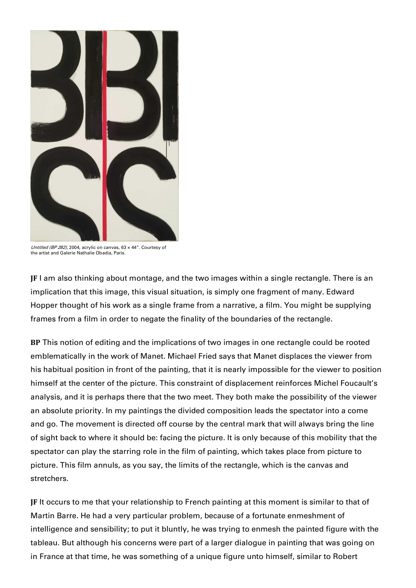

Untitled (BP 282), 2004, acrylic on canvas, 63 × 44". Courtesy of the artist and Galerie Nathalie Obadia, Paris.

**JF** I am also thinking about montage, and the two images within a single rectangle. There is an implication that this image, this visual situation, is simply one fragment of many. Edward Hopper thought of his work as a single frame from a narrative, a film. You might be supplying frames from a film in order to negate the finality of the boundaries of the rectangle.

**BP** This notion of editing and the implications of two images in one rectangle could be rooted emblematically in the work of Manet. Michael Fried says that Manet displaces the viewer from his habitual position in front of the painting, that it is nearly impossible for the viewer to position himself at the center of the picture. This constraint of displacement reinforces Michel Foucault's analysis, and it is perhaps there that the two meet. They both make the possibility of the viewer an absolute priority. In my paintings the divided composition leads the spectator into a come and go. The movement is directed off course by the central mark that will always bring the line of sight back to where it should be: facing the picture. It is only because of this mobility that the spectator can play the starring role in the film of painting, which takes place from picture to picture. This film annuls, as you say, the limits of the rectangle, which is the canvas and stretchers.

**JF** It occurs to me that your relationship to French painting at this moment is similar to that of Martin Barre. He had a very particular problem, because of a fortunate enmeshment of intelligence and sensibility; to put it bluntly, he was trying to enmesh the painted figure with the tableau. But although his concerns were part of a larger dialogue in painting that was going on in France at that time, he was something of a unique figure unto himself, similar to Robert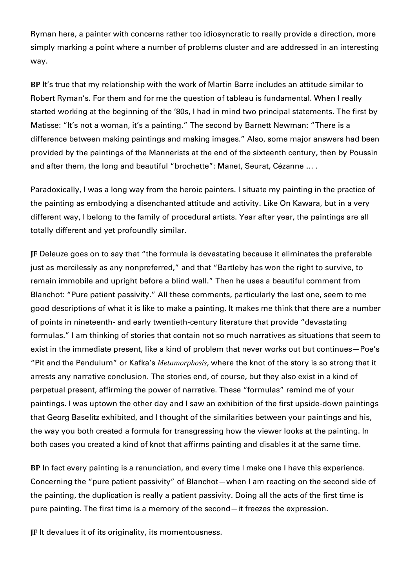Ryman here, a painter with concerns rather too idiosyncratic to really provide a direction, more simply marking a point where a number of problems cluster and are addressed in an interesting way.

**BP** It's true that my relationship with the work of Martin Barre includes an attitude similar to Robert Ryman's. For them and for me the question of tableau is fundamental. When I really started working at the beginning of the '80s, I had in mind two principal statements. The first by Matisse: "It's not a woman, it's a painting." The second by Barnett Newman: "There is a difference between making paintings and making images." Also, some major answers had been provided by the paintings of the Mannerists at the end of the sixteenth century, then by Poussin and after them, the long and beautiful "brochette": Manet, Seurat, Cézanne … .

Paradoxically, I was a long way from the heroic painters. I situate my painting in the practice of the painting as embodying a disenchanted attitude and activity. Like On Kawara, but in a very different way, I belong to the family of procedural artists. Year after year, the paintings are all totally different and yet profoundly similar.

**JF** Deleuze goes on to say that "the formula is devastating because it eliminates the preferable just as mercilessly as any nonpreferred," and that "Bartleby has won the right to survive, to remain immobile and upright before a blind wall." Then he uses a beautiful comment from Blanchot: "Pure patient passivity." All these comments, particularly the last one, seem to me good descriptions of what it is like to make a painting. It makes me think that there are a number of points in nineteenth- and early twentieth-century literature that provide "devastating formulas." I am thinking of stories that contain not so much narratives as situations that seem to exist in the immediate present, like a kind of problem that never works out but continues—Poe's "Pit and the Pendulum" or Kafka's *Metamorphosis*, where the knot of the story is so strong that it arrests any narrative conclusion. The stories end, of course, but they also exist in a kind of perpetual present, affirming the power of narrative. These "formulas" remind me of your paintings. I was uptown the other day and I saw an exhibition of the first upside-down paintings that Georg Baselitz exhibited, and I thought of the similarities between your paintings and his, the way you both created a formula for transgressing how the viewer looks at the painting. In both cases you created a kind of knot that affirms painting and disables it at the same time.

**BP** In fact every painting is a renunciation, and every time I make one I have this experience. Concerning the "pure patient passivity" of Blanchot—when I am reacting on the second side of the painting, the duplication is really a patient passivity. Doing all the acts of the first time is pure painting. The first time is a memory of the second—it freezes the expression.

**JF** It devalues it of its originality, its momentousness.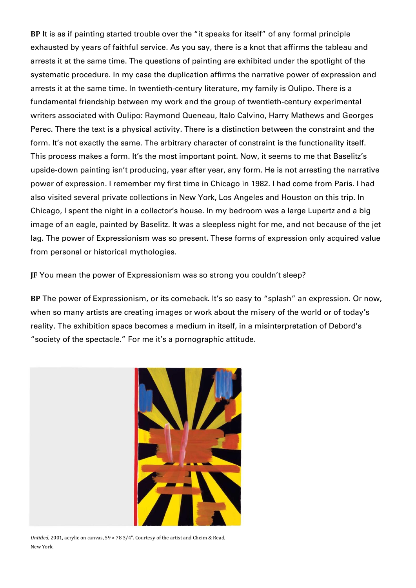**BP** It is as if painting started trouble over the "it speaks for itself" of any formal principle exhausted by years of faithful service. As you say, there is a knot that affirms the tableau and arrests it at the same time. The questions of painting are exhibited under the spotlight of the systematic procedure. In my case the duplication affirms the narrative power of expression and arrests it at the same time. In twentieth-century literature, my family is Oulipo. There is a fundamental friendship between my work and the group of twentieth-century experimental writers associated with Oulipo: Raymond Queneau, Italo Calvino, Harry Mathews and Georges Perec. There the text is a physical activity. There is a distinction between the constraint and the form. It's not exactly the same. The arbitrary character of constraint is the functionality itself. This process makes a form. It's the most important point. Now, it seems to me that Baselitz's upside-down painting isn't producing, year after year, any form. He is not arresting the narrative power of expression. I remember my first time in Chicago in 1982. I had come from Paris. I had also visited several private collections in New York, Los Angeles and Houston on this trip. In Chicago, I spent the night in a collector's house. In my bedroom was a large Lupertz and a big image of an eagle, painted by Baselitz. It was a sleepless night for me, and not because of the jet lag. The power of Expressionism was so present. These forms of expression only acquired value from personal or historical mythologies.

**JF** You mean the power of Expressionism was so strong you couldn't sleep?

**BP** The power of Expressionism, or its comeback. It's so easy to "splash" an expression. Or now, when so many artists are creating images or work about the misery of the world or of today's reality. The exhibition space becomes a medium in itself, in a misinterpretation of Debord's "society of the spectacle." For me it's a pornographic attitude.



*Untitled*, 2001, acrylic on canvas, 59 × 78 3/4". Courtesy of the artist and Cheim & Read, New York.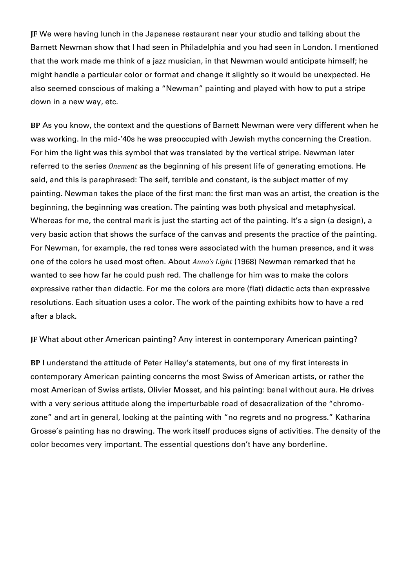**JF** We were having lunch in the Japanese restaurant near your studio and talking about the Barnett Newman show that I had seen in Philadelphia and you had seen in London. I mentioned that the work made me think of a jazz musician, in that Newman would anticipate himself; he might handle a particular color or format and change it slightly so it would be unexpected. He also seemed conscious of making a "Newman" painting and played with how to put a stripe down in a new way, etc.

**BP** As you know, the context and the questions of Barnett Newman were very different when he was working. In the mid-'40s he was preoccupied with Jewish myths concerning the Creation. For him the light was this symbol that was translated by the vertical stripe. Newman later referred to the series *Onement* as the beginning of his present life of generating emotions. He said, and this is paraphrased: The self, terrible and constant, is the subject matter of my painting. Newman takes the place of the first man: the first man was an artist, the creation is the beginning, the beginning was creation. The painting was both physical and metaphysical. Whereas for me, the central mark is just the starting act of the painting. It's a sign (a design), a very basic action that shows the surface of the canvas and presents the practice of the painting. For Newman, for example, the red tones were associated with the human presence, and it was one of the colors he used most often. About *Anna's Light* (1968) Newman remarked that he wanted to see how far he could push red. The challenge for him was to make the colors expressive rather than didactic. For me the colors are more (flat) didactic acts than expressive resolutions. Each situation uses a color. The work of the painting exhibits how to have a red after a black.

**JF** What about other American painting? Any interest in contemporary American painting?

**BP** I understand the attitude of Peter Halley's statements, but one of my first interests in contemporary American painting concerns the most Swiss of American artists, or rather the most American of Swiss artists, Olivier Mosset, and his painting: banal without aura. He drives with a very serious attitude along the imperturbable road of desacralization of the "chromozone" and art in general, looking at the painting with "no regrets and no progress." Katharina Grosse's painting has no drawing. The work itself produces signs of activities. The density of the color becomes very important. The essential questions don't have any borderline.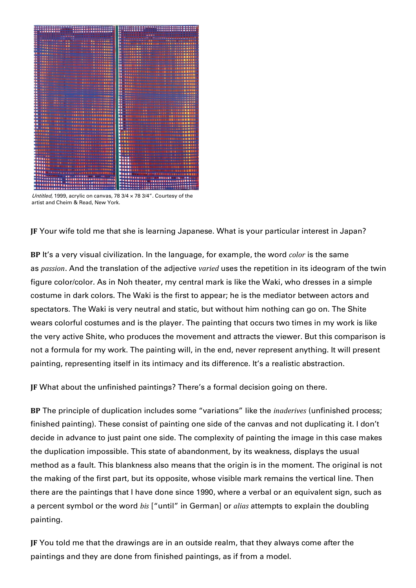

Untitled, 1999, acrylic on canvas, 78  $3/4 \times 78$   $3/4$ ". Courtesy of the artist and Cheim & Read, New York.

**JF** Your wife told me that she is learning Japanese. What is your particular interest in Japan?

**BP** It's a very visual civilization. In the language, for example, the word *color* is the same as *passion*. And the translation of the adjective *varied* uses the repetition in its ideogram of the twin figure color/color. As in Noh theater, my central mark is like the Waki, who dresses in a simple costume in dark colors. The Waki is the first to appear; he is the mediator between actors and spectators. The Waki is very neutral and static, but without him nothing can go on. The Shite wears colorful costumes and is the player. The painting that occurs two times in my work is like the very active Shite, who produces the movement and attracts the viewer. But this comparison is not a formula for my work. The painting will, in the end, never represent anything. It will present painting, representing itself in its intimacy and its difference. It's a realistic abstraction.

**JF** What about the unfinished paintings? There's a formal decision going on there.

**BP** The principle of duplication includes some "variations" like the *inaderives* (unfinished process; finished painting). These consist of painting one side of the canvas and not duplicating it. I don't decide in advance to just paint one side. The complexity of painting the image in this case makes the duplication impossible. This state of abandonment, by its weakness, displays the usual method as a fault. This blankness also means that the origin is in the moment. The original is not the making of the first part, but its opposite, whose visible mark remains the vertical line. Then there are the paintings that I have done since 1990, where a verbal or an equivalent sign, such as a percent symbol or the word *bis* ["until" in German] or *alias* attempts to explain the doubling painting.

**JF** You told me that the drawings are in an outside realm, that they always come after the paintings and they are done from finished paintings, as if from a model.